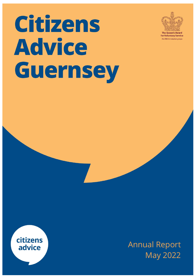# Citizens **Advice Guernsey**



for Voluntary Service The MBE for volunteer groups



Annual Report May 2022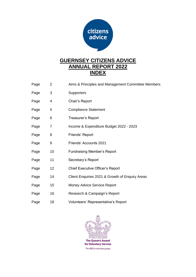

## **GUERNSEY CITIZENS ADVICE ANNUAL REPORT 2022 INDEX**

Page 2 Aims & Principles and Management Committee Members Page 3 Supporters Page 4 Chair's Report Page 5 Compliance Statement Page 6 Treasurer's Report Page 7 Income & Expenditure Budget 2022 - 2023 Page 8 Friends' Report Page 9 Friends' Accounts 2021 Page 10 Fundraising Member's Report Page 11 Secretary's Report Page 12 Chief Executive Officer's Report Page 14 Client Enquiries 2021 & Growth of Enquiry Areas Page 15 Money Advice Service Report Page 16 Research & Campaign's Report Page 18 Volunteers' Representative's Report

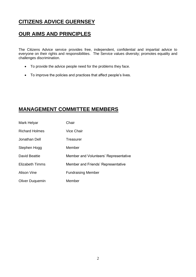# **CITIZENS ADVICE GUERNSEY**

## **OUR AIMS AND PRINCIPLES**

The Citizens Advice service provides free, independent, confidential and impartial advice to everyone on their rights and responsibilities. The Service values diversity; promotes equality and challenges discrimination.

- To provide the advice people need for the problems they face.
- To improve the policies and practices that affect people's lives.

## **MANAGEMENT COMMITTEE MEMBERS**

| Mark Helyar            | Chair                                 |
|------------------------|---------------------------------------|
| <b>Richard Holmes</b>  | Vice Chair                            |
| Jonathan Dell          | Treasurer                             |
| Stephen Hogg           | Member                                |
| David Beattie          | Member and Volunteers' Representative |
| <b>Elizabeth Timms</b> | Member and Friends' Representative    |
| Alison Vine            | <b>Fundraising Member</b>             |
| <b>Oliver Duquemin</b> | Member                                |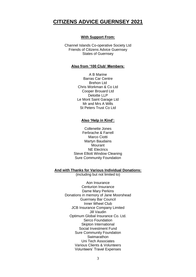## **CITIZENS ADVICE GUERNSEY 2021**

#### **With Support From:**

Channel Islands Co-operative Society Ltd Friends of Citizens Advice Guernsey States of Guernsey

#### **Also from '100 Club' Members:**

A B Marine Barras Car Centre Brehon Ltd Chris Workman & Co Ltd Cooper Brouard Ltd Deloitte LLP Le Mont Saint Garage Ltd Mr and Mrs A Wills St Peters Trust Co Ltd

#### **Also 'Help in Kind':**

Collenette Jones Ferbrache & Farrell Marco Ciotti Martyn Baudains **Mourant** NE Electrics Steve Elliott Window Cleaning Sure Community Foundation

#### **And with Thanks for Various Individual Donations:**

(including but not limited to)

Aon Insurance Centurion Insurance Dame Mary Perkins Donations in memory of Jane Moorshead Guernsey Bar Council Inner Wheel Club JCB Insurance Company Limited Jill Vaudin Optimum Global Insurance Co. Ltd. Serco Foundation Skipton International Social Investment Fund Sure Community Foundation **Swimarathon** Uni Tech Associates Various Clients & Volunteers Volunteers' Travel Expenses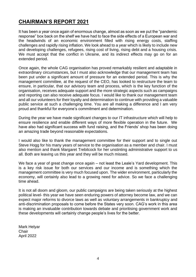## **CHAIRMAN'S REPORT 2021**

It has been a year once again of enormous change, almost as soon as we put the "pandemic response" box back on the shelf we have had to face the side effects of a European war and the headwinds of an economic environment filled with rising energy costs, staffing challenges and rapidly rising inflation. We look ahead to a year which is likely to include new and developing challenges, refugees, rising cost of living, rising debt and a housing crisis. We must accept that the conflict in Ukraine, and its indirect effects may go on for an extended period.

Once again, the whole CAG organisation has proved remarkably resilient and adaptable in extraordinary circumstances, but I must also acknowledge that our management team has been put under a significant amount of pressure for an extended period. This is why the management committee, at the request of the CEO, has looked to restructure the team to ensure, in particular, that our advisory team and process, which is the key function of the organisation, receives adequate support and the more strategic aspects such as campaigns and reporting can also receive adequate focus. I would like to thank our management team and all our volunteers for their loyalty and determination to continue with providing a valuable public service at such a challenging time. You are all making a difference and I am very proud and thankful for everyone's commitment and determination.

During the year we have made significant changes to our IT infrastructure which will help to ensure resilience and enable different ways of more flexible operation in the future. We have also had significant success with fund raising, and the Friends' shop has been doing an amazing trade beyond reasonable expectations.

I would also like to thank the management committee for their support and to single out Steve Hogg for his many years of service to the organisation as a member and chair. I must also mention and thank Margaret Trebilcock for her unstinting administrative support to us all. Both are leaving us this year and they will be much missed.

We face a year of great change once again – not least the Leale's Yard development. This is a key risk issue for both our services and our income and is something which the management committee is very much focused upon. The wider environment, particularly the economy, will certainly also lead to a growing need for advice. So we face a challenging time ahead.

It is not all doom and gloom, our public campaigns are being taken seriously at the highest political level- this year we have seen enduring powers of attorney become law, and we can expect major reforms to divorce laws as well as voluntary arrangements in bankruptcy and anti-discrimination proposals to come before the States very soon. CAG's work in this area is making an invaluable contribution towards debate and prioritising government work and these developments will certainly change people's lives for the better.

Mark Helyar **Chair** April 2022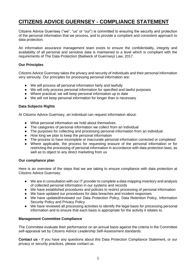# **CITIZENS ADVICE GUERNSEY - COMPLIANCE STATEMENT**

Citizens Advice Guernsey ("we", "us" or "our") is committed to ensuring the security and protection of the personal information that we process, and to provide a compliant and consistent approach to data protection.

An information assurance management team exists to ensure the confidentiality, integrity and availability of all personal and sensitive data is maintained to a level which is compliant with the requirements of The Data Protection (Bailiwick of Guernsey) Law, 2017.

### **Our Principles**

Citizens Advice Guernsey takes the privacy and security of individuals and their personal information very seriously. Our principles for processing personal information are:

- We will process all personal information fairly and lawfully
- We will only process personal information for specified and lawful purposes
- Where practical, we will keep personal information up to date
- We will not keep personal information for longer than is necessary

#### **Data Subjects Rights**

At Citizens Advice Guernsey, an individual can request information about:

- What personal information we hold about themselves
- The categories of personal information we collect from an individual
- The purposes for collecting and processing personal information from an individual
- How long we plan to keep the personal information
- The process to have incomplete or inaccurate personal information corrected or completed
- Where applicable, the process for requesting erasure of the personal information or for restricting the processing of personal information in accordance with data protection laws, as well as to object to any direct marketing from us

#### **Our compliance plan**

Here is an overview of the steps that we are taking to ensure compliance with data protection at Citizens Advice Guernsey:

- We are in consultation with our IT provider to complete a data mapping inventory and analysis of collected personal information in our systems and records
- We have established procedures and policies to restrict processing of personal information
- We have updated our procedures for data breaches and incident responses
- We have updated/reviewed our Data Protection Policy, Data Retention Policy, Information Security Policy and Privacy Policy
- We have reviewed all processing activities to identify the legal basis for processing personal information and to ensure that each basis is appropriate for the activity it relates to.

#### **Management Committee Compliance**

The Committee evaluate their performance on an annual basis against the criteria in the Committee self-appraisal set by Citizens Advice Leadership Self-Assessment standards.

**Contact us -** If you have any questions about this Data Protection Compliance Statement, or our privacy or security practices, please contact us.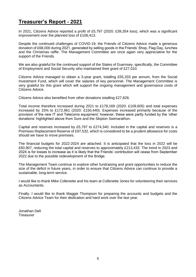## **Treasurer's Report - 2021**

In 2021, Citizens Advice reported a profit of £5,797 (2020: £39,354 loss), which was a significant improvement over the planned loss of £106,413.

Despite the continued challenges of COVID-19, the Friends of Citizens Advice made a generous donation of £68,000 during 2021, generated by selling goods in the Friends' Shop, Flag Day, lunches and the Christmas raffle. The Management Committee are once again very appreciative for the support of the Friends.

We are also grateful for the continued support of the States of Guernsey, specifically, the Committee of Employment and Social Security who maintained their grant of £27,010.

Citizens Advice managed to obtain a 3-year grant, totalling £55,333 per annum, from the Social Investment Fund, which will cover the salaries of key personnel. The Management Committee is very grateful for this grant which will support the ongoing management and governance costs of Citizens Advice.

Citizens Advice also benefited from other donations totalling £27,826.

Total income therefore increased during 2021 to £178,169 (2020: £109,605) and total expenses increased by 15% to £172,961 (2020: £150,440). Expenses increased primarily because of the provision of the new IT and Telecoms equipment; however, these were partly funded by the 'other donations' highlighted above from Sure and the Skipton Swimarathon.

Capital and reserves increased by £5,797 to £274,340. Included in the capital and reserves is a Premises Replacement Reserve of £97,532, which is considered to be a prudent allowance for costs should we have to move premises.

The financial budgets for 2022-2024 are attached. It is anticipated that the loss in 2022 will be £60,907, reducing the total capital and reserves to approximately £213,433. The trend in 2023 and 2024 is for losses to increase as it is likely that the Friends' contribution will cease from September 2022 due to the possible redevelopment of the Bridge.

The Management Team continue to explore other fundraising and grant opportunities to reduce the size of the deficit in future years, in order to ensure that Citizens Advice can continue to provide a sustainable, long-term service.

I would like to thank Mike Collenette and his team at Collenette Jones for volunteering their services as Accountants.

Finally, I would like to thank Maggie Thompson for preparing the accounts and budgets and the Citizens Advice Team for their dedication and hard work over the last year.

Jonathan Dell **Treasurer**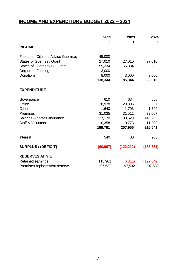## **INCOME AND EXPENDITURE BUDGET 2022 – 2024**

|                                     | 2022      | 2023       | 2024       |
|-------------------------------------|-----------|------------|------------|
| <b>INCOME</b>                       | £         | £          | £          |
| Friends of Citizens Advice Guernsey | 45,000    |            |            |
| <b>States of Guernsey Grant</b>     | 27,010    | 27,010     | 27,010     |
| <b>States of Guernsey SIF Grant</b> | 55,334    | 55,334     |            |
| <b>Corporate Funding</b>            | 3,000     |            |            |
| <b>Donations</b>                    | 8,000     | 3,000      | 3,000      |
|                                     | 138,344   | 85,344     | 30,010     |
| <b>EXPENDITURE</b>                  |           |            |            |
| Governance                          | 610       | 634        | 660        |
| Office                              | 28,978    | 29,806     | 30,667     |
| Other                               | 1,640     | 1,703      | 1,799      |
| Premises                            | 31,035    | 31,511     | 32,007     |
| Salaries & States Insurance         | 127,170   | 133,529    | 140,205    |
| Staff & Volunteer                   | 10,358    | 10,773     | 11,203     |
|                                     | 199,791   | 207,956    | 216,541    |
| <b>Interest</b>                     | 540       | 400        | 200        |
| <b>SURPLUS / (DEFICIT)</b>          | (60, 907) | (122, 212) | (186, 331) |
| <b>RESERVES AT Y/E</b>              |           |            |            |
| Retained earnings                   | 115,901   | (6, 311)   | (192, 642) |
| Premises replacement reserve        | 97,532    | 97,532     | 97,532     |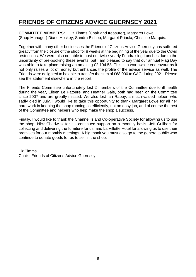# **FRIENDS OF CITIZENS ADVICE GUERNSEY 2021**

**COMMITTEE MEMBERS:** Liz Timms (Chair and treasurer), Margaret Lowe (Shop Manager) Diane Hockey, Sandra Bishop, Margaret Priaulx, Christine Marquis.

Together with many other businesses the Friends of Citizens Advice Guernsey has suffered greatly from the closure of the shop for 8 weeks at the beginning of the year due to the Covid restrictions. We were also not able to host our twice-yearly Fundraising Lunches due to the uncertainty of pre-booking these events, but I am pleased to say that our annual Flag Day was able to take place raising an amazing £2,194.58. This is a worthwhile endeavour as it not only raises a lot of money but enhances the profile of the advice service as well. The Friends were delighted to be able to transfer the sum of £68,000 to CAG during 2021. Please see the statement elsewhere in the report.

The Friends Committee unfortunately lost 2 members of the Committee due to ill health during the year, Eileen Le Patourel and Heather Gale, both had been on the Committee since 2007 and are greatly missed. We also lost Ian Rabey, a much-valued helper, who sadly died in July. I would like to take this opportunity to thank Margaret Lowe for all her hard work in keeping the shop running so efficiently, not an easy job, and of course the rest of the Committee and helpers who help make the shop a success.

Finally, I would like to thank the Channel Island Co-operative Society for allowing us to use the shop, Nick Chadwick for his continued support on a monthly basis, Jeff Guilbert for collecting and delivering the furniture for us, and La Villette Hotel for allowing us to use their premises for our monthly meetings. A big thank you must also go to the general public who continue to donate goods for us to sell in the shop.

Liz Timms Chair - Friends of Citizens Advice Guernsey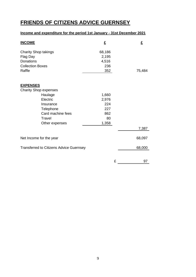# **FRIENDS OF CITIZENS ADVICE GUERNSEY**

## **Income and expenditure for the period 1st January - 31st December 2021**

| <b>INCOME</b>                                  | £      | £      |
|------------------------------------------------|--------|--------|
| <b>Charity Shop takings</b>                    | 68,186 |        |
| Flag Day                                       | 2,195  |        |
| Donations                                      | 4,516  |        |
| <b>Collection Boxes</b>                        | 236    |        |
| Raffle                                         | 352    | 75,484 |
|                                                |        |        |
| <b>EXPENSES</b>                                |        |        |
| <b>Charity Shop expenses</b><br>Haulage        | 1,660  |        |
| Electric                                       | 2,976  |        |
| Insurance                                      | 224    |        |
| Telephone                                      | 227    |        |
| Card machine fees                              | 862    |        |
| Travel                                         | 80     |        |
| Other expenses                                 | 1,358  |        |
|                                                |        | 7,387  |
|                                                |        |        |
| Net Income for the year                        |        | 68,097 |
| <b>Transferred to Citizens Advice Guernsey</b> |        | 68,000 |
|                                                |        |        |
|                                                |        |        |
|                                                | £      | 97     |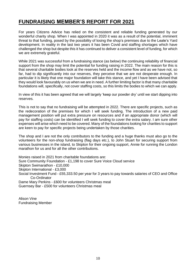## **FUNDRAISING MEMBER'S REPORT FOR 2021**

For years Citizens Advice has relied on the consistent and reliable funding generated by our wonderful charity shop. When I was appointed in 2020 it was as a result of the potential, imminent threat to that funding, posed by the possibility of losing the shop's premises due to the Leale's Yard development. In reality in the last two years it has been Covid and staffing shortages which have challenged the shop but despite this it has continued to deliver a consistent level of funding, for which we are extremely grateful.

While 2021 was successful from a fundraising stance (as below) the continuing reliability of financial support from the shop may limit the potential for funding raising in 2022. The main reason for this is that several charitable bodies look at the reserves held and the income flow and as we have not, so far, had to dip significantly into our reserves, they perceive that we are not desperate enough. In particular it is likely that one major foundation will take this stance, and yet I have been advised that they would look favourably on us when we are in need. A further limiting factor is that many charitable foundations will, specifically, not cover staffing costs, so this limits the bodies to which we can apply.

In view of this it has been agreed that we will largely 'keep our powder dry' until we start dipping into reserves.

This is not to say that no fundraising will be attempted in 2022. There are specific projects, such as the redecoration of the premises for which I will seek funding. The introduction of a new paid management position will put extra pressure on resources and if an appropriate donor (which will pay for staffing costs) can be identified I will seek funding to cover the extra salary. I am sure other expenses will arise which need to be covered. Many of the foundations looking for charities to support are keen to pay for specific projects being undertaken by those charities.

The shop and I are not the only contributors to the funding and a huge thanks must also go to the volunteers for the non-shop fundraising (flag days etc.), to John Stuart for securing support from various businesses in the island, to Skipton for their ongoing support, Annie for running the London marathon for us and for all the other contributions.

Monies raised in 2021 from charitable foundations are: Sure Community Foundation - £1,198 to cover Sure Voice Cloud service Skipton Swimarathon - £10,000 Skipton International - £3,000 Social Investment Fund - £55,333.50 per year for 3 years to pay towards salaries of CEO and Office Co-Ordinator Dame Mary Perkins - £600 for volunteers Christmas meal Guernsey Bar - £500 for volunteers Christmas meal

Alison Vine Fundraising Member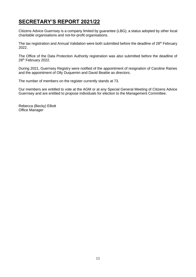# **SECRETARY'S REPORT 2021/22**

Citizens Advice Guernsey is a company limited by guarantee (LBG); a status adopted by other local charitable organisations and not-for-profit organisations.

The tax registration and Annual Validation were both submitted before the deadline of 28<sup>th</sup> February 2022.

The Office of the Data Protection Authority registration was also submitted before the deadline of 28<sup>th</sup> February 2022.

During 2021, Guernsey Registry were notified of the appointment of resignation of Caroline Raines and the appointment of Olly Duquemin and David Beattie as directors.

The number of members on the register currently stands at 73.

Our members are entitled to vote at the AGM or at any Special General Meeting of Citizens Advice Guernsey and are entitled to propose individuals for election to the Management Committee.

Rebecca (Becky) Elliott Office Manager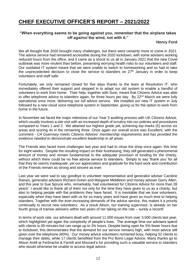## **CHIEF EXECUTIVE OFFICER'S REPORT – 2021/2022**

### **"When everything seems to be going against you, remember that the airplane takes off** *against* **the wind, not with it."**

#### **Henry Ford**

We all thought that 2020 brought many challenges, but there were certainly more to come in 2021. The advice service had remained accessible during the 2020 lockdown, with some advisers working reduced hours from the office, and it came as a shock to us all in January 2021 that the new Covid outbreak was more virulent than before, presenting worrying health risks to our volunteers and staff. Our outdated IT system meant that we were unable to switch to homeworking and so had to take the unprecedented decision to close the service to islanders on  $27<sup>th</sup>$  January in order to keep volunteers and staff safe.

Fortunately, we only remained closed for five days thanks to the team at Resolution IT, who immediately offered their support and stepped in to adapt our old system to enable a handful of volunteers to work from home. Their help, together with Sure, meant that Citizens Advice was able to offer telephone advice to islanders again, for three hours per day. By 22<sup>nd</sup> March we were fully operational once more, delivering our full advice service. We installed our new IT system in July followed by a new cloud voice telephone system in September, giving us for the option to work from home in the future.

In November we faced the major milestone of our Year 3 auditing process with UK Citizens Advice, which usually involves a site visit with an increased depth of scrutiny into our policies and procedures compared to Years 1 and 2. We attained our highest grade yet, achieving top marks (5) across six areas and scoring 4s in the remaining three. Once again our overall score was Excellent, with the comment - *CA Guernsey meets Citizens Advices' membership requirements and has provided the evidence needed to demonstrate excellent leadership in all areas.* 

The Friends also faced more challenges last year and had to close the shop once again, this time for eight weeks. Despite the resulting impact on their fundraising, they still generated a phenomenal amount of money and remain fundamental to the adequate provision of funding for the charity, without which there could be no free advice service to islanders. Simply to say 'thank you' for all that they do seems inadequate, yet our appreciation and gratitude for the hard work and contribution of the Friends remain as strong and sincere as ever.

Last year we were sad to say goodbye to volunteer representative and generalist adviser Caroline Raines, generalist advisers Richard Green and Margaret Middleton and money adviser Gerry Allen, and this year to Sue Spruce who, remarkably, had volunteered for Citizens Advice for more than 28 years! I would like to thank all of them not only for the time they have given to us as a charity, but also to helping people with the problems they have faced. It is inevitable that we lose volunteers, especially when they have been with us for so many years and have given so much time to helping islanders. Together with the ever-increasing demands of the advice service, this makes it a priority continually to recruit new volunteers. As a result Alison, our training supervisor, is already on her fourth group of trainee advisers within two years of her taking on the role – surely a record!

In terms of work rate, our advisers dealt with around 11,000 issues from over 3,500 clients last year, which highlighted yet again the complexity of people's lives. The average time our advisers spend with clients is 49 minutes but can range up to 3¾ hours. Despite being open for 5% fewer hours due to lockdown, this demonstrates that the demand for our service remains high, with most advice still given over the telephone (60%). Our money advice volunteers remained busy, helping 52 clients to manage their debts, while 17 clients benefited from the Pro Bono Legal Advice. Many thanks go to Alison Antill at Ferbrache & Farrell and Mourant's for providing such a valuable service to islanders who would otherwise be unable to access legal advice.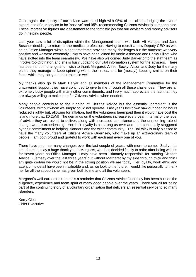Once again, the quality of our advice was rated high with 95% of our clients judging the overall experience of our service to be 'positive' and 95% recommending Citizens Advice to someone else. These impressive figures are a testament to the fantastic job that our advisers and money advisers do in helping people.

Last year saw a lot of disruption within the Management team, with both Ali Marquis and Jane Boscher deciding to return to the medical profession. Having to recruit a new Deputy CEO as well as an Office Manager within a tight timeframe provided many challenges but the outcome was very positive and we were extremely lucky to have been joined by Annie Ashmead and Becky Elliott, who have slotted into the team seamlessly. We have also welcomed Judy Barker onto the staff team as InfoSys Co-Ordinator, and she is busy updating our vital information system for the advisers. There has been a lot of change and I wish to thank Margaret, Annie, Becky, Alison and Judy for the many plates they manage to keep spinning within their roles, and for (mostly!) keeping smiles on their faces while they carry out their roles so well.

My thanks also go to Mark Helyar and all members of the Management Committee for the unwavering support they have continued to give to me through all these challenges. They are all extremely busy people with many other commitments, and I very much appreciate the fact that they are always willing to make time for Citizens Advice when needed.

Many people contribute to the running of Citizens Advice but the essential ingredient is the volunteers, without whom we simply could not operate. Last year's lockdown saw our opening hours reduced slightly but, allowing for inflation, had the volunteers been paid then it would have cost the Island more that £0.25M! The demands on the volunteers increase every year in terms of the level of advice they are asked to deliver, along with increased compliance and the unrelenting rate of change we are experiencing. Yet their loyalty is as strong as ever and I am continually staggered by their commitment to helping islanders and the wider community. The Bailiwick is truly blessed to have the many volunteers at Citizens Advice Guernsey, who make up an extraordinary team of people. I am both proud and grateful to work with each and every one of you.

There have been so many changes over the last couple of years, with more to come. Sadly, it is time for me to say a huge thank you to Margaret, who has decided finally to retire after being with us for seven years as Office Manager. I may have been ultimately responsible for running Citizens Advice Guernsey over the last three years but without Margaret by my side through thick and thin I am quite certain we would not be in the strong position we are today. Her loyalty, work ethic and attention to detail have been invaluable and, as we look to the future, I would like personally to thank her for all the support she has given both to me and all the volunteers.

Margaret's well-earned retirement is a reminder that Citizens Advice Guernsey has been built on the diligence, experience and team spirit of many good people over the years. Thank you all for being part of the continuing story of a voluntary organisation that delivers an essential service to so many islanders.

Kerry Ciotti Chief Executive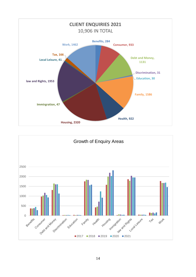

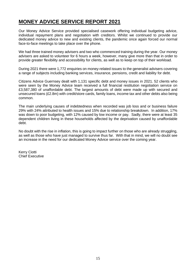## **MONEY ADVICE SERVICE REPORT 2021**

Our Money Advice Service provided specialised casework offering individual budgeting advice, individual repayment plans and negotiation with creditors. Whilst we continued to provide our dedicated money advice to new and existing clients, the pandemic once again forced our normal face-to-face meetings to take place over the phone.

We had three trained money advisers and two who commenced training during the year. Our money advisers are asked to volunteer for 6 hours a week, however, many give more than that in order to provide greater flexibility and accessibility for clients, as well as to keep on top of their workload.

During 2021 there were 1,772 enquiries on money-related issues to the generalist advisers covering a range of subjects including banking services, insurance, pensions, credit and liability for debt.

Citizens Advice Guernsey dealt with 1,131 specific debt and money issues in 2021. 52 clients who were seen by the Money Advice team received a full financial restitution negotiation service on £3,587,380 of unaffordable debt. The largest amounts of debt were made up with secured and unsecured loans (£2.8m) with credit/store cards, family loans, income tax and other debts also being common.

The main underlying causes of indebtedness when recorded was job loss and or business failure 29% with 24% attributed to health issues and 15% due to relationship breakdown. In addition, 17% was down to poor budgeting, with 12% caused by low income or pay. Sadly, there were at least 35 dependent children living in these households affected by the deprivation caused by unaffordable debt.

No doubt with the rise in inflation, this is going to impact further on those who are already struggling, as well as those who have just managed to survive thus far. With that in mind, we will no doubt see an increase in the need for our dedicated Money Advice service over the coming year.

Kerry Ciotti Chief Executive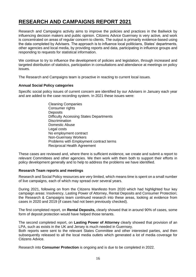# **RESEARCH AND CAMPAIGNS REPORT 2021**

Research and Campaigns activity aims to improve the policies and practices in the Bailiwick by influencing decision makers and public opinion. Citizens Advice Guernsey is very active, and work is concentrated on areas of regular concern to clients. The output is primarily evidence-based using the data completed by Advisers. The approach is to influence local politicians, States' departments, other agencies and local media, by providing reports and data, participating in influence groups and responding to requests for statistical information.

We continue to try to influence the development of policies and legislation, through increased and targeted distribution of statistics, participation in consultations and attendance at meetings on policy issues.

The Research and Campaigns team is proactive in reacting to current local issues.

### **Annual Social Policy categories**

Specific social policy issues of current concern are identified by our Advisers in January each year and are added to the case recording system. In 2021 these issues were:

> Cleaning Companies Consumer rights **Deposits** Difficulty Accessing States Departments **Discrimination** Domestic Abuse Legal costs No employment contract Non-Guernsey Workers Problems with Employment contract terms Reciprocal Health Agreement

These cases are reviewed and, where there is sufficient evidence, we create and submit a report to relevant Committees and other agencies. We then work with them both to support their efforts in policy development generally and to help to address the problems we have identified.

#### **Research Team reports and meetings**

Research and Social Policy resources are very limited, which means time is spent on a small number of live campaigns, each of which may spread over several years.

During 2021, following on from the Citizens Manifesto from 2020 which had highlighted four key campaign areas: Insolvency, Lasting Power of Attorney, Rental Deposits and Consumer Protection; the Research & Campaigns team continued research into these areas, looking at evidence from cases in 2020 and 2019 (if cases had not been previously checked).

The first completed report, on **Rental Deposits,** clearly showed that in around 90% of cases, some form of deposit protection would have helped those tenants.

The second completed report, on **Lasting Power of Attorney** clearly showed that provision of an LPA, such as exists in the UK and Jersey is much needed in Guernsey.

Both reports were sent to the relevant States Committee and other interested parties, and then subsequently released to all the local media outlets which generated a lot of media coverage for Citizens Advice.

Research into **Consumer Protection** is ongoing and is due to be completed in 2022.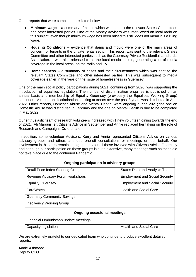Other reports that were completed are listed below:

- **Minimum wage** a summary of cases which was sent to the relevant States Committees and other interested parties. One of the Money Advisers was interviewed on local radio on this subject: even though minimum wage has been raised this still does not mean it is a living wage.
- **Housing Conditions** evidence that damp and mould were one of the main areas of concern for tenants in the private rental sector. This report was sent to the relevant States Committee and other interested parties such as the Guernsey Private Residential Landlords' Association. It was also released to all the local media outlets, generating a lot of media coverage in the local press, on the radio and TV.
- **Homelessness** a summary of cases and their circumstances which was sent to the relevant States Committee and other interested parties. This was subsequent to media coverage earlier in the year on the issue of homelessness in Guernsey.

One of the main social policy participations during 2021, continuing from 2020, was supporting the introduction of equalities legislation. The number of discrimination enquiries is published on an annual basis and membership of Equality Guernsey (previously the Equalities Working Group) continues. A report on discrimination, looking at trends over the past 3 years was distributed in April 2022. Other reports, Domestic Abuse and Mental Health, were ongoing during 2021; the one on Domestic Abuse was distributed in February and the one on Mental Health is due to be completed in May 2022.

Our enthusiastic team of research volunteers increased with 1 new volunteer joining towards the end of 2021. Ali Marquis left Citizens Advice in September and Annie replaced her taking on the role of Research and Campaigns Co-ordinator.

In addition, some volunteer Advisers, Kerry and Annie represented Citizens Advice on various advisory groups and others attended one-off consultations or meetings on our behalf. Our involvement in this area remains a high priority for all those involved with Citizens Advice Guernsey and although our participation on these groups is quite extensive, many meetings such as these did not take place due to the continued Pandemic.

| Ongoing participation in advisory groups |                                       |  |  |  |
|------------------------------------------|---------------------------------------|--|--|--|
| <b>Retail Price Index Steering Group</b> | <b>States Data and Analysis Team</b>  |  |  |  |
| Revenue Advisory Forum workshops         | <b>Employment and Social Security</b> |  |  |  |
| <b>Equality Guernsey</b>                 | <b>Employment and Social Security</b> |  |  |  |
| CareWatch                                | <b>Health and Social Care</b>         |  |  |  |
| <b>Guernsey Community Savings</b>        |                                       |  |  |  |
| <b>Insolvency Working Group</b>          |                                       |  |  |  |
| <b>Ongoing occasional meetings</b>       |                                       |  |  |  |
| Financial Ombudsman update meetings      | <b>CIFO</b>                           |  |  |  |
| Capacity legislation                     | <b>Health and Social Care</b>         |  |  |  |

We are extremely grateful to our dedicated team who continue to produce excellent detailed reports.

Annie Ashmead Deputy CEO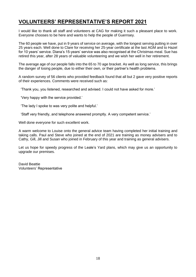## **VOLUNTEERS' REPRESENTATIVE'S REPORT 2021**

I would like to thank all staff and volunteers at CAG for making it such a pleasant place to work. Everyone chooses to be here and wants to help the people of Guernsey.

The 60 people we have, put in 9 years of service on average, with the longest serving putting in over 25 years each. Well done to Clare for receiving her 25-year certificate at the last AGM and to Hazel for 10 years' service. Diana's 15-years' service was also recognised at the Christmas meal. Sue has retired this year, after 28 years of valuable volunteering and we wish her well in her retirement.

The average age of our people falls into the 65 to 70 age bracket. As well as long service, this brings the danger of losing people, due to either their own, or their partner's health problems.

A random survey of 56 clients who provided feedback found that all but 2 gave very positive reports of their experiences. Comments were received such as:

'Thank you, you listened, researched and advised. I could not have asked for more.'

'Very happy with the service provided.'

'The lady I spoke to was very polite and helpful.'

'Staff very friendly, and telephone answered promptly. A very competent service.'

Well done everyone for such excellent work.

A warm welcome to Louise onto the general advice team having completed her initial training and taking calls. Paul and Steve who joined at the end of 2021 are training as money advisers and to Cathy, Gill, Jill and Susan who joined in February of this year and training as general advisers.

Let us hope for speedy progress of the Leale's Yard plans, which may give us an opportunity to upgrade our premises.

David Beattie Volunteers' Representative